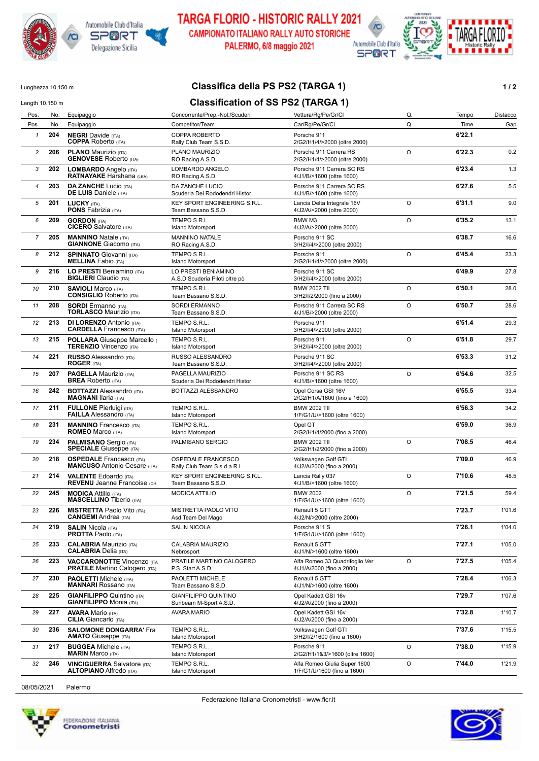







Lunghezza 10.150 m **Classifica della PS PS2 (TARGA 1) 1/2** 

| <b>Classification of SS PS2 (TARGA 1)</b><br>Length 10.150 m |     |                                                                        |                                                          |                                                             |         |        |          |
|--------------------------------------------------------------|-----|------------------------------------------------------------------------|----------------------------------------------------------|-------------------------------------------------------------|---------|--------|----------|
| Pos.                                                         | No. | Equipaggio                                                             | Concorrente/Prep.-Nol./Scuder                            | Vettura/Rg/Pe/Gr/Cl                                         | Q.      | Tempo  | Distacco |
| Pos.                                                         | No. | Equipaggio                                                             | Competitor/Team                                          | Car/Rg/Pe/Gr/Cl                                             | Q.      | Time   | Gap      |
| $\mathbf{1}$                                                 | 204 | <b>NEGRI</b> Davide (ITA)<br><b>COPPA Roberto (ITA)</b>                | COPPA ROBERTO<br>Rally Club Team S.S.D.                  | Porsche 911<br>2/G2/H1/4/>2000 (oltre 2000)                 |         | 6'22.1 |          |
| 2                                                            | 206 | <b>PLANO Maurizio (ITA)</b><br><b>GENOVESE Roberto (ITA)</b>           | PLANO MAURIZIO<br>RO Racing A.S.D.                       | Porsche 911 Carrera RS<br>2/G2/H1/4/>2000 (oltre 2000)      | $\circ$ | 6'22.3 | 0.2      |
| 3                                                            | 202 | LOMBARDO Angelo (ITA)<br><b>RATNAYAKE Harshana (LKA)</b>               | LOMBARDO ANGELO<br>RO Racing A.S.D.                      | Porsche 911 Carrera SC RS<br>4/J1/B/>1600 (oltre 1600)      |         | 6'23.4 | 1.3      |
| 4                                                            | 203 | <b>DA ZANCHE Lucio (ITA)</b><br><b>DE LUIS</b> Daniele (ITA)           | DA ZANCHE LUCIO<br>Scuderia Dei Rododendri Histor        | Porsche 911 Carrera SC RS<br>4/J1/B/>1600 (oltre 1600)      |         | 6'27.6 | 5.5      |
| 5                                                            | 201 | <b>LUCKY (ITA)</b><br><b>PONS Fabrizia (ITA)</b>                       | KEY SPORT ENGINEERING S.R.L.<br>Team Bassano S.S.D.      | Lancia Delta Integrale 16V<br>4/J2/A/>2000 (oltre 2000)     | O       | 6'31.1 | 9.0      |
| 6                                                            | 209 | <b>GORDON (ITA)</b><br><b>CICERO</b> Salvatore (ITA)                   | TEMPO S.R.L.<br><b>Island Motorsport</b>                 | BMW <sub>M3</sub><br>4/J2/A/>2000 (oltre 2000)              | $\circ$ | 6'35.2 | 13.1     |
| $\overline{7}$                                               | 205 | <b>MANNINO Natale (ITA)</b><br><b>GIANNONE</b> Giacomo (ITA)           | <b>MANNINO NATALE</b><br>RO Racing A.S.D.                | Porsche 911 SC<br>3/H2/I/4/>2000 (oltre 2000)               |         | 6'38.7 | 16.6     |
| 8                                                            | 212 | <b>SPINNATO</b> Giovanni (ITA)<br><b>MELLINA Fabio (ITA)</b>           | TEMPO S.R.L.<br><b>Island Motorsport</b>                 | Porsche 911<br>2/G2/H1/4/>2000 (oltre 2000)                 | $\circ$ | 6'45.4 | 23.3     |
| 9                                                            | 216 | LO PRESTI Beniamino (ITA)<br><b>BIGLIERI</b> Claudio (ITA)             | LO PRESTI BENIAMINO<br>A.S.D Scuderia Piloti oltre pò    | Porsche 911 SC<br>3/H2/I/4/>2000 (oltre 2000)               |         | 6'49.9 | 27.8     |
| 10                                                           | 210 | <b>SAVIOLI Marco (ITA)</b><br><b>CONSIGLIO Roberto (ITA)</b>           | TEMPO S.R.L.<br>Team Bassano S.S.D.                      | <b>BMW 2002 TII</b><br>3/H2/I/2/2000 (fino a 2000)          | O       | 6'50.1 | 28.0     |
| 11                                                           | 208 | <b>SORDI</b> Ermanno (ITA)<br><b>TORLASCO Maurizio (ITA)</b>           | <b>SORDI ERMANNO</b><br>Team Bassano S.S.D.              | Porsche 911 Carrera SC RS<br>4/J1/B/>2000 (oltre 2000)      | $\circ$ | 6'50.7 | 28.6     |
| 12                                                           | 213 | <b>DI LORENZO Antonio (ITA)</b><br><b>CARDELLA Francesco (ITA)</b>     | TEMPO S.R.L.<br><b>Island Motorsport</b>                 | Porsche 911<br>3/H2/I/4/>2000 (oltre 2000)                  |         | 6'51.4 | 29.3     |
| 13                                                           | 215 | POLLARA Giuseppe Marcello<br><b>TERENZIO Vincenzo (ITA)</b>            | TEMPO S.R.L.<br><b>Island Motorsport</b>                 | Porsche 911<br>3/H2/I/4/>2000 (oltre 2000)                  | $\circ$ | 6'51.8 | 29.7     |
| 14                                                           | 221 | <b>RUSSO</b> Alessandro (ITA)<br><b>ROGER (ITA)</b>                    | RUSSO ALESSANDRO<br>Team Bassano S.S.D.                  | Porsche 911 SC<br>3/H2/I/4/>2000 (oltre 2000)               |         | 6'53.3 | 31.2     |
| 15                                                           | 207 | <b>PAGELLA Maurizio (ITA)</b><br><b>BREA</b> Roberto (ITA)             | PAGELLA MAURIZIO<br>Scuderia Dei Rododendri Histor       | Porsche 911 SC RS<br>4/J1/B/>1600 (oltre 1600)              | $\circ$ | 6'54.6 | 32.5     |
| 16                                                           | 242 | <b>BOTTAZZI</b> Alessandro (ITA)<br><b>MAGNANI Ilaria (ITA)</b>        | BOTTAZZI ALESSANDRO                                      | Opel Corsa GSI 16V<br>2/G2/H1/A/1600 (fino a 1600)          |         | 6'55.5 | 33.4     |
| 17                                                           | 211 | <b>FULLONE</b> Pierluigi (ITA)<br><b>FAILLA</b> Alessandro (ITA)       | TEMPO S.R.L.<br><b>Island Motorsport</b>                 | <b>BMW 2002 TII</b><br>1/F/G1/U/>1600 (oltre 1600)          |         | 6'56.3 | 34.2     |
| 18                                                           | 231 | <b>MANNINO</b> Francesco (ITA)<br><b>ROMEO</b> Marco (ITA)             | TEMPO S.R.L.<br><b>Island Motorsport</b>                 | Opel GT<br>2/G2/H1/4/2000 (fino a 2000)                     |         | 6'59.0 | 36.9     |
| 19                                                           | 234 | <b>PALMISANO</b> Sergio (ITA)<br><b>SPECIALE</b> Giuseppe (ITA)        | PALMISANO SERGIO                                         | <b>BMW 2002 TII</b><br>2/G2/H1/2/2000 (fino a 2000)         | O       | 7'08.5 | 46.4     |
| 20                                                           | 218 | <b>OSPEDALE</b> Francesco (ITA)<br><b>MANCUSO</b> Antonio Cesare (ITA) | <b>OSPEDALE FRANCESCO</b><br>Rally Club Team S.s.d.a R.I | Volkswagen Golf GTI<br>4/J2/A/2000 (fino a 2000)            |         | 7'09.0 | 46.9     |
| 21                                                           | 214 | <b>VALENTE Edoardo (ITA)</b><br><b>REVENU Jeanne Francoise (CH</b>     | KEY SPORT ENGINEERING S.R.L.<br>Team Bassano S.S.D.      | Lancia Rally 037                                            | $\circ$ | 7'10.6 | 48.5     |
| 22                                                           | 245 | <b>MODICA</b> Attilio (ITA)<br><b>MASCELLINO Tiberio (ITA)</b>         | <b>MODICA ATTILIO</b>                                    | 4/J1/B/>1600 (oltre 1600)<br><b>BMW 2002</b>                | $\circ$ | 7'21.5 | 59.4     |
| 23                                                           | 226 | <b>MISTRETTA Paolo Vito (ITA)</b><br><b>CANGEMI</b> Andrea (ITA)       | MISTRETTA PAOLO VITO                                     | 1/F/G1/U/>1600 (oltre 1600)<br>Renault 5 GTT                |         | 7'23.7 | 1'01.6   |
| 24                                                           | 219 | <b>SALIN Nicola (ITA)</b>                                              | Asd Team Del Mago<br><b>SALIN NICOLA</b>                 | 4/J2/N/>2000 (oltre 2000)<br>Porsche 911 S                  |         | 7'26.1 | 1'04.0   |
| 25                                                           | 233 | <b>PROTTA Paolo (ITA)</b><br><b>CALABRIA Maurizio (ITA)</b>            | CALABRIA MAURIZIO                                        | 1/F/G1/U/>1600 (oltre 1600)<br>Renault 5 GTT                |         | 7'27.1 | 1'05.0   |
| 26                                                           | 223 | <b>CALABRIA</b> Delia (ITA)<br><b>VACCARONOTTE Vincenzo (ITA</b>       | Nebrosport<br>PRATILE MARTINO CALOGERO                   | 4/J1/N/>1600 (oltre 1600)<br>Alfa Romeo 33 Quadrifoglio Ver | O       | 7'27.5 | 1'05.4   |
| 27                                                           | 230 | <b>PRATILE Martino Calogero (ITA)</b><br><b>PAOLETTI Michele (ITA)</b> | P.S. Start A.S.D.<br>PAOLETTI MICHELE                    | 4/J1/A/2000 (fino a 2000)<br>Renault 5 GTT                  |         | 7'28.4 | 1'06.3   |
| 28                                                           | 225 | <b>MANNARI</b> Rossano (ITA)<br><b>GIANFILIPPO Quintino (ITA)</b>      | Team Bassano S.S.D.<br><b>GIANFILIPPO QUINTINO</b>       | 4/J1/N/>1600 (oltre 1600)<br>Opel Kadett GSI 16v            |         | 7'29.7 | 1'07.6   |
| 29                                                           | 227 | <b>GIANFILIPPO</b> Monia (ITA)<br><b>AVARA Mario (ITA)</b>             | Sunbeam M-Sport A.S.D.<br><b>AVARA MARIO</b>             | 4/J2/A/2000 (fino a 2000)<br>Opel Kadett GSI 16v            |         | 7'32.8 | 1'10.7   |
| 30                                                           | 236 | <b>CILIA</b> Giancarlo (ITA)<br><b>SALOMONE DONGARRA' Fra</b>          | TEMPO S.R.L.                                             | 4/J2/A/2000 (fino a 2000)<br>Volkswagen Golf GTI            |         | 7'37.6 | 1'15.5   |
| 31                                                           | 217 | <b>AMATO</b> Giuseppe (ITA)<br><b>BUGGEA</b> Michele (ITA)             | <b>Island Motorsport</b><br>TEMPO S.R.L.                 | 3/H2/I/2/1600 (fino a 1600)<br>Porsche 911                  | O       | 7'38.0 | 1'15.9   |
|                                                              |     | <b>MARIN Marco (ITA)</b>                                               | <b>Island Motorsport</b>                                 | 2/G2/H1/1&3/>1600 (oltre 1600)                              |         |        |          |
| 32                                                           | 246 | <b>VINCIGUERRA Salvatore (ITA)</b><br><b>ALTOPIANO Alfredo (ITA)</b>   | TEMPO S.R.L.<br><b>Island Motorsport</b>                 | Alfa Romeo Giulia Super 1600<br>1/F/G1/U/1600 (fino a 1600) | O       | 7'44.0 | 1'21.9   |

08/05/2021 Palermo